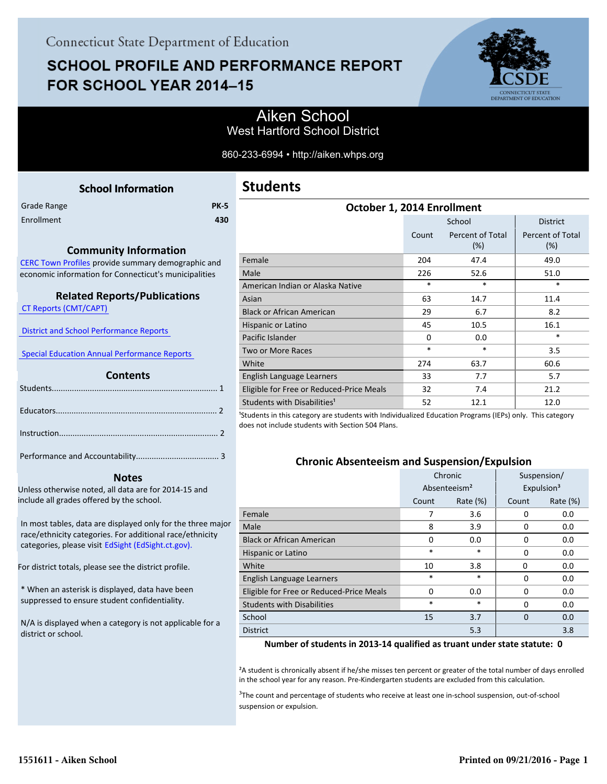# **SCHOOL PROFILE AND PERFORMANCE REPORT** FOR SCHOOL YEAR 2014-15



### Aiken School West Hartford School District

860-233-6994 • http://aiken.whps.org

<span id="page-0-0"></span>

| <b>School Information</b>                                   | Students                                         |
|-------------------------------------------------------------|--------------------------------------------------|
| <b>PK-5</b><br>Grade Range                                  |                                                  |
| Enrollment<br>430                                           |                                                  |
|                                                             |                                                  |
| <b>Community Information</b>                                |                                                  |
| CERC Town Profiles provide summary demographic and          | Female                                           |
| economic information for Connecticut's municipalities       | Male                                             |
|                                                             | American Indian or Alaska Nat                    |
| <b>Related Reports/Publications</b>                         | Asian                                            |
| <b>CT Reports (CMT/CAPT)</b>                                | <b>Black or African American</b>                 |
|                                                             | Hispanic or Latino                               |
| <b>District and School Performance Reports</b>              | Pacific Islander                                 |
| <b>Special Education Annual Performance Reports</b>         | Two or More Races                                |
|                                                             | White                                            |
| <b>Contents</b>                                             | English Language Learners                        |
|                                                             | Eligible for Free or Reduced-P                   |
|                                                             | Students with Disabilities <sup>1</sup>          |
|                                                             | <sup>1</sup> Students in this category are stude |
|                                                             | does not include students with Sec               |
|                                                             |                                                  |
|                                                             |                                                  |
|                                                             | <b>Chronic Ab</b>                                |
| <b>Notes</b>                                                |                                                  |
| Unless otherwise noted, all data are for 2014-15 and        |                                                  |
| include all grades offered by the school.                   |                                                  |
| In most tables, data are displayed only for the three major | Female                                           |
| race/ethnicity categories. For additional race/ethnicity    | Male                                             |
| categories, please visit EdSight (EdSight.ct.gov).          | <b>Black or African American</b>                 |
|                                                             | Hispanic or Latino                               |
| For district totals, please see the district profile.       | White                                            |

\* When an asterisk is displayed, data have been suppressed to ensure student confidentiality.

N/A is displayed when a category is not applicable for a district or school.

## **Students**

| October 1, 2014 Enrollment               |                                  |        |                         |  |  |  |
|------------------------------------------|----------------------------------|--------|-------------------------|--|--|--|
|                                          |                                  | School | <b>District</b>         |  |  |  |
|                                          | Count<br>Percent of Total<br>(%) |        | Percent of Total<br>(%) |  |  |  |
| Female                                   | 204                              | 47.4   | 49.0                    |  |  |  |
| Male                                     | 226                              | 52.6   | 51.0                    |  |  |  |
| American Indian or Alaska Native         | $\ast$                           | $\ast$ | *                       |  |  |  |
| Asian                                    | 63                               | 14.7   | 11.4                    |  |  |  |
| <b>Black or African American</b>         | 29                               | 6.7    | 8.2                     |  |  |  |
| Hispanic or Latino                       | 45                               | 10.5   | 16.1                    |  |  |  |
| Pacific Islander                         | $\Omega$                         | 0.0    | *                       |  |  |  |
| Two or More Races                        | $\ast$                           | *      | 3.5                     |  |  |  |
| White                                    | 274                              | 63.7   | 60.6                    |  |  |  |
| English Language Learners                | 33                               | 7.7    | 5.7                     |  |  |  |
| Eligible for Free or Reduced-Price Meals | 32                               | 7.4    | 21.2                    |  |  |  |
| Students with Disabilities <sup>1</sup>  | 52                               | 12.1   | 12.0                    |  |  |  |

ents with Individualized Education Programs (IEPs) only. This category ction 504 Plans.

### **Chronic Absenteeism and Suspension/Expulsion**

|                                          | Chronic  |                          | Suspension/ |                        |
|------------------------------------------|----------|--------------------------|-------------|------------------------|
|                                          |          | Absenteeism <sup>2</sup> |             | Expulsion <sup>3</sup> |
|                                          | Count    | Rate (%)                 | Count       | Rate (%)               |
| Female                                   | 7        | 3.6                      | 0           | 0.0                    |
| Male                                     | 8        | 3.9                      | 0           | 0.0                    |
| <b>Black or African American</b>         | $\Omega$ | 0.0                      | 0           | 0.0                    |
| Hispanic or Latino                       | $\ast$   | *                        | 0           | 0.0                    |
| White                                    | 10       | 3.8                      | $\Omega$    | 0.0                    |
| English Language Learners                | $\ast$   | $\ast$                   | 0           | 0.0                    |
| Eligible for Free or Reduced-Price Meals | $\Omega$ | 0.0                      | 0           | 0.0                    |
| <b>Students with Disabilities</b>        | *        | $\ast$                   | 0           | 0.0                    |
| School                                   | 15       | 3.7                      | $\Omega$    | 0.0                    |
| <b>District</b>                          |          | 5.3                      |             | 3.8                    |

**Number of students in 2013-14 qualified as truant under state statute: 0**

<sup>2</sup>A student is chronically absent if he/she misses ten percent or greater of the total number of days enrolled in the school year for any reason. Pre-Kindergarten students are excluded from this calculation.

<sup>3</sup>The count and percentage of students who receive at least one in-school suspension, out-of-school suspension or expulsion.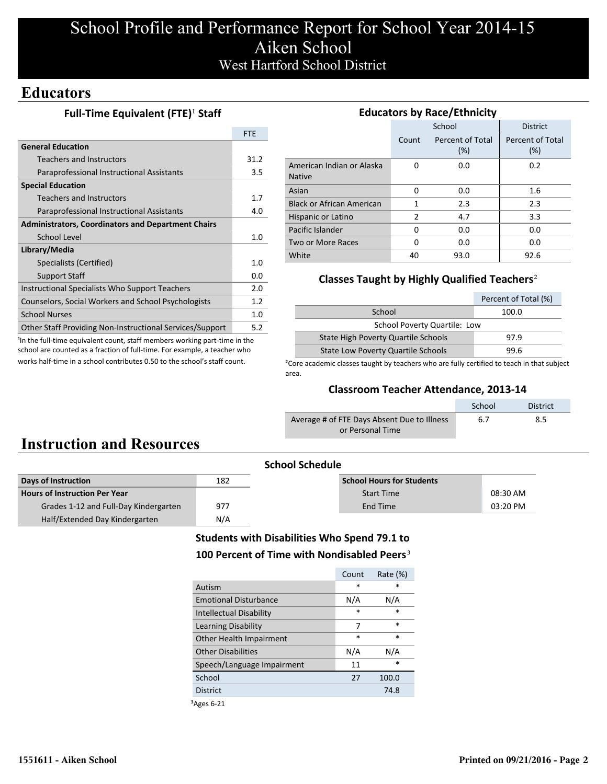## School Profile and Performance Report for School Year 2014-15 Aiken School West Hartford School District

## **Educators**

### **Full-Time Equivalent (FTE)<sup>1</sup> Staff**

|                                                           | <b>FTF</b> |
|-----------------------------------------------------------|------------|
| <b>General Education</b>                                  |            |
| Teachers and Instructors                                  | 31.2       |
| Paraprofessional Instructional Assistants                 | 3.5        |
| <b>Special Education</b>                                  |            |
| Teachers and Instructors                                  | 1.7        |
| Paraprofessional Instructional Assistants                 | 4.0        |
| <b>Administrators, Coordinators and Department Chairs</b> |            |
| School Level                                              | 1.0        |
| Library/Media                                             |            |
| Specialists (Certified)                                   | 1.0        |
| <b>Support Staff</b>                                      | 0.0        |
| Instructional Specialists Who Support Teachers            | 2.0        |
| Counselors, Social Workers and School Psychologists       | 1.2        |
| <b>School Nurses</b>                                      | 1.0        |
| Other Staff Providing Non-Instructional Services/Support  | 5.2        |

<sup>1</sup>In the full-time equivalent count, staff members working part-time in the school are counted as a fraction of full-time. For example, a teacher who works half-time in a school contributes 0.50 to the school's staff count.

| <b>Educators by Race/Ethnicity</b>         |       |                         |                         |  |  |  |  |
|--------------------------------------------|-------|-------------------------|-------------------------|--|--|--|--|
|                                            |       | School                  | <b>District</b>         |  |  |  |  |
|                                            | Count | Percent of Total<br>(%) | Percent of Total<br>(%) |  |  |  |  |
| American Indian or Alaska<br><b>Native</b> | 0     | 0.0                     | 0.2                     |  |  |  |  |
| Asian                                      | 0     | 0.0                     | 1.6                     |  |  |  |  |
| <b>Black or African American</b>           | 1     | 2.3                     | 2.3                     |  |  |  |  |
| Hispanic or Latino                         | 2     | 4.7                     | 3.3                     |  |  |  |  |
| Pacific Islander                           | 0     | 0.0                     | 0.0                     |  |  |  |  |
| Two or More Races                          | 0     | 0.0                     | 0.0                     |  |  |  |  |
| White                                      | 40    | 93.0                    | 92.6                    |  |  |  |  |

### **Classes Taught by Highly Qualified Teachers**²

|                                           | Percent of Total (%) |  |  |  |
|-------------------------------------------|----------------------|--|--|--|
| School                                    | 100.0                |  |  |  |
| School Poverty Quartile: Low              |                      |  |  |  |
| State High Poverty Quartile Schools       | 97.9                 |  |  |  |
| <b>State Low Poverty Quartile Schools</b> | 99.6                 |  |  |  |

<sup>2</sup>Core academic classes taught by teachers who are fully certified to teach in that subject area.

#### **Classroom Teacher Attendance, 2013-14**

|                                             | School | <b>District</b> |
|---------------------------------------------|--------|-----------------|
| Average # of FTE Days Absent Due to Illness | 6.7    | 8.5             |
| or Personal Time                            |        |                 |

# **Instruction and Resources**

| <b>School Schedule</b>                |     |                                  |          |  |
|---------------------------------------|-----|----------------------------------|----------|--|
| Days of Instruction                   | 182 | <b>School Hours for Students</b> |          |  |
| <b>Hours of Instruction Per Year</b>  |     | <b>Start Time</b>                | 08:30 AM |  |
| Grades 1-12 and Full-Day Kindergarten | 977 | End Time                         | 03:20 PM |  |
| Half/Extended Day Kindergarten        | N/A |                                  |          |  |

### **Students with Disabilities Who Spend 79.1 to** 100 Percent of Time with Nondisabled Peers<sup>3</sup>

|                                | Count  | Rate $(\%)$ |
|--------------------------------|--------|-------------|
| Autism                         | $\ast$ | $\ast$      |
| <b>Emotional Disturbance</b>   | N/A    | N/A         |
| <b>Intellectual Disability</b> | $\ast$ | *           |
| Learning Disability            | 7      | $\ast$      |
| Other Health Impairment        | $\ast$ | $\ast$      |
| <b>Other Disabilities</b>      | N/A    | N/A         |
| Speech/Language Impairment     | 11     | *           |
| School                         | 27     | 100.0       |
| <b>District</b>                |        | 74.8        |

³Ages 6-21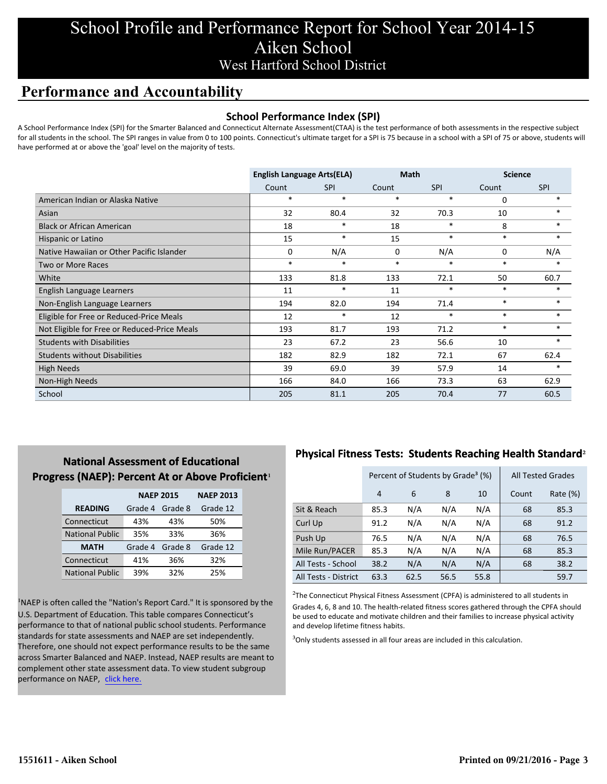# School Profile and Performance Report for School Year 2014-15 Aiken School West Hartford School District

## **Performance and Accountability**

#### **School Performance Index (SPI)**

A School Performance Index (SPI) for the Smarter Balanced and Connecticut Alternate Assessment(CTAA) is the test performance of both assessments in the respective subject for all students in the school. The SPI ranges in value from 0 to 100 points. Connecticut's ultimate target for a SPI is 75 because in a school with a SPI of 75 or above, students will have performed at or above the 'goal' level on the majority of tests.

|                                              | <b>English Language Arts(ELA)</b> |            | <b>Math</b> |            | <b>Science</b> |            |
|----------------------------------------------|-----------------------------------|------------|-------------|------------|----------------|------------|
|                                              | Count                             | <b>SPI</b> | Count       | <b>SPI</b> | Count          | <b>SPI</b> |
| American Indian or Alaska Native             | $\ast$                            | $\ast$     | $\ast$      | $\ast$     | 0              | $\ast$     |
| Asian                                        | 32                                | 80.4       | 32          | 70.3       | 10             | $\ast$     |
| <b>Black or African American</b>             | 18                                | $\ast$     | 18          | $\ast$     | 8              |            |
| Hispanic or Latino                           | 15                                | $\ast$     | 15          | $\ast$     | $\ast$         | $\ast$     |
| Native Hawaiian or Other Pacific Islander    | 0                                 | N/A        | 0           | N/A        | 0              | N/A        |
| Two or More Races                            | $\ast$                            | $\ast$     | $\ast$      | $\ast$     | $*$            | $\ast$     |
| White                                        | 133                               | 81.8       | 133         | 72.1       | 50             | 60.7       |
| English Language Learners                    | 11                                | $\ast$     | 11          | $\ast$     | $\ast$         | $\ast$     |
| Non-English Language Learners                | 194                               | 82.0       | 194         | 71.4       | $\ast$         | $\ast$     |
| Eligible for Free or Reduced-Price Meals     | 12                                | $\ast$     | 12          | $\ast$     | $\ast$         | $\ast$     |
| Not Eligible for Free or Reduced-Price Meals | 193                               | 81.7       | 193         | 71.2       | $\ast$         | $\ast$     |
| <b>Students with Disabilities</b>            | 23                                | 67.2       | 23          | 56.6       | 10             | *          |
| <b>Students without Disabilities</b>         | 182                               | 82.9       | 182         | 72.1       | 67             | 62.4       |
| High Needs                                   | 39                                | 69.0       | 39          | 57.9       | 14             | $\ast$     |
| Non-High Needs                               | 166                               | 84.0       | 166         | 73.3       | 63             | 62.9       |
| School                                       | 205                               | 81.1       | 205         | 70.4       | 77             | 60.5       |

### **National Assessment of Educational Progress (NAEP): Percent At or Above Proficient1**

|                        | <b>NAEP 2015</b> | <b>NAEP 2013</b> |          |
|------------------------|------------------|------------------|----------|
| <b>READING</b>         | Grade 4          | Grade 8          | Grade 12 |
| Connecticut            | 43%              | 43%              | 50%      |
| <b>National Public</b> | 35%              | 33%              | 36%      |
| <b>MATH</b>            | Grade 4          | Grade 8          | Grade 12 |
| Connecticut            | 41%              | 36%              | 32%      |
| <b>National Public</b> | 39%              | 32%              | 25%      |

<sup>1</sup>NAEP is often called the "Nation's Report Card." It is sponsored by the U.S. Department of Education. This table compares Connecticut's performance to that of national public school students. Performance standards for state assessments and NAEP are set independently. Therefore, one should not expect performance results to be the same across Smarter Balanced and NAEP. Instead, NAEP results are meant to complement other state assessment data. To view student subgroup performance on NAEP, click here.

### **Physical Fitness Tests: Students Reaching Health Standard**²

|                      |                | Percent of Students by Grade <sup>3</sup> (%) |      | <b>All Tested Grades</b> |          |      |
|----------------------|----------------|-----------------------------------------------|------|--------------------------|----------|------|
|                      | $\overline{4}$ | 6                                             | 10   | Count                    | Rate (%) |      |
| Sit & Reach          | 85.3           | N/A                                           | N/A  | N/A                      | 68       | 85.3 |
| Curl Up              | 91.2           | N/A                                           | N/A  | N/A                      | 68       | 91.2 |
| Push Up              | 76.5           | N/A                                           | N/A  | N/A                      | 68       | 76.5 |
| Mile Run/PACER       | 85.3           | N/A                                           | N/A  | N/A                      | 68       | 85.3 |
| All Tests - School   | 38.2           | N/A                                           | N/A  | N/A                      | 68       | 38.2 |
| All Tests - District | 63.3           | 62.5                                          | 56.5 | 55.8                     |          | 59.7 |

 $2$ The Connecticut Physical Fitness Assessment (CPFA) is administered to all students in Grades 4, 6, 8 and 10. The health-related fitness scores gathered through the CPFA should be used to educate and motivate children and their families to increase physical activity and develop lifetime fitness habits.

<sup>3</sup>Only students assessed in all four areas are included in this calculation.